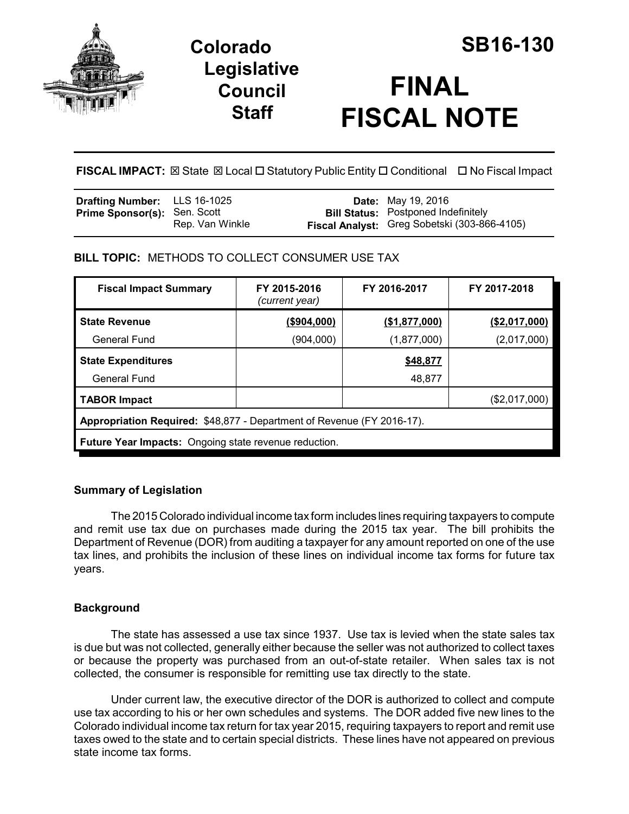

# **Legislative Council Staff**



**FISCAL IMPACT:** ⊠ State ⊠ Local □ Statutory Public Entity □ Conditional □ No Fiscal Impact

| <b>Drafting Number:</b> LLS 16-1025 |                 | <b>Date:</b> May 19, 2016                    |
|-------------------------------------|-----------------|----------------------------------------------|
| <b>Prime Sponsor(s): Sen. Scott</b> |                 | <b>Bill Status:</b> Postponed Indefinitely   |
|                                     | Rep. Van Winkle | Fiscal Analyst: Greg Sobetski (303-866-4105) |

## **BILL TOPIC:** METHODS TO COLLECT CONSUMER USE TAX

| <b>Fiscal Impact Summary</b>                                           | FY 2015-2016<br>(current year) | FY 2016-2017  | FY 2017-2018  |  |  |
|------------------------------------------------------------------------|--------------------------------|---------------|---------------|--|--|
| <b>State Revenue</b>                                                   | (\$904,000)                    | (\$1,877,000) | (\$2,017,000) |  |  |
| General Fund                                                           | (904,000)                      | (1,877,000)   | (2,017,000)   |  |  |
| <b>State Expenditures</b>                                              |                                | \$48,877      |               |  |  |
| General Fund                                                           |                                | 48.877        |               |  |  |
| <b>TABOR Impact</b>                                                    |                                |               | (\$2,017,000) |  |  |
| Appropriation Required: \$48,877 - Department of Revenue (FY 2016-17). |                                |               |               |  |  |
| <b>Future Year Impacts:</b> Ongoing state revenue reduction.           |                                |               |               |  |  |

### **Summary of Legislation**

The 2015 Colorado individual income tax form includes lines requiring taxpayers to compute and remit use tax due on purchases made during the 2015 tax year. The bill prohibits the Department of Revenue (DOR) from auditing a taxpayer for any amount reported on one of the use tax lines, and prohibits the inclusion of these lines on individual income tax forms for future tax years.

## **Background**

The state has assessed a use tax since 1937. Use tax is levied when the state sales tax is due but was not collected, generally either because the seller was not authorized to collect taxes or because the property was purchased from an out-of-state retailer. When sales tax is not collected, the consumer is responsible for remitting use tax directly to the state.

Under current law, the executive director of the DOR is authorized to collect and compute use tax according to his or her own schedules and systems. The DOR added five new lines to the Colorado individual income tax return for tax year 2015, requiring taxpayers to report and remit use taxes owed to the state and to certain special districts. These lines have not appeared on previous state income tax forms.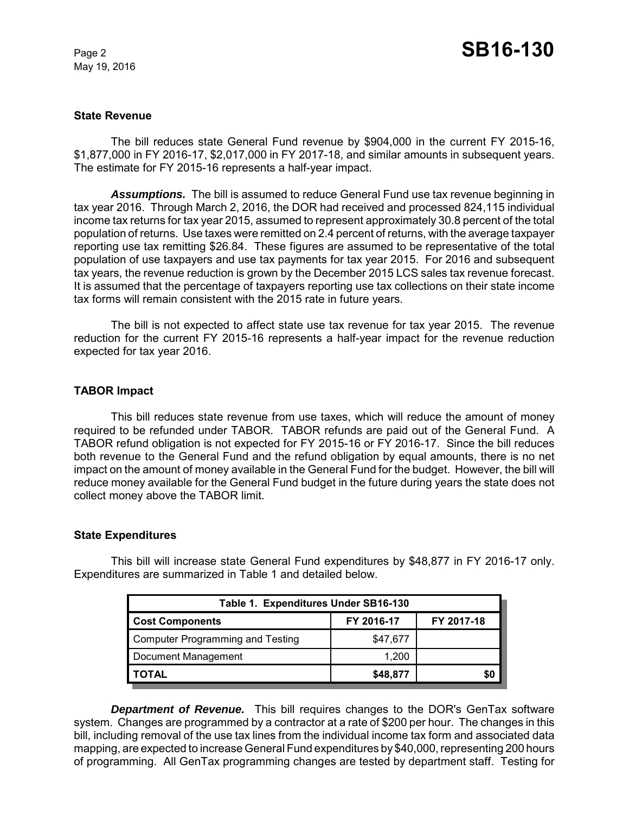May 19, 2016

#### **State Revenue**

The bill reduces state General Fund revenue by \$904,000 in the current FY 2015-16, \$1,877,000 in FY 2016-17, \$2,017,000 in FY 2017-18, and similar amounts in subsequent years. The estimate for FY 2015-16 represents a half-year impact.

*Assumptions.* The bill is assumed to reduce General Fund use tax revenue beginning in tax year 2016. Through March 2, 2016, the DOR had received and processed 824,115 individual income tax returns for tax year 2015, assumed to represent approximately 30.8 percent of the total population of returns. Use taxes were remitted on 2.4 percent of returns, with the average taxpayer reporting use tax remitting \$26.84. These figures are assumed to be representative of the total population of use taxpayers and use tax payments for tax year 2015. For 2016 and subsequent tax years, the revenue reduction is grown by the December 2015 LCS sales tax revenue forecast. It is assumed that the percentage of taxpayers reporting use tax collections on their state income tax forms will remain consistent with the 2015 rate in future years.

The bill is not expected to affect state use tax revenue for tax year 2015. The revenue reduction for the current FY 2015-16 represents a half-year impact for the revenue reduction expected for tax year 2016.

#### **TABOR Impact**

This bill reduces state revenue from use taxes, which will reduce the amount of money required to be refunded under TABOR. TABOR refunds are paid out of the General Fund. A TABOR refund obligation is not expected for FY 2015-16 or FY 2016-17. Since the bill reduces both revenue to the General Fund and the refund obligation by equal amounts, there is no net impact on the amount of money available in the General Fund for the budget. However, the bill will reduce money available for the General Fund budget in the future during years the state does not collect money above the TABOR limit.

#### **State Expenditures**

This bill will increase state General Fund expenditures by \$48,877 in FY 2016-17 only. Expenditures are summarized in Table 1 and detailed below.

| Table 1. Expenditures Under SB16-130    |            |            |  |  |  |
|-----------------------------------------|------------|------------|--|--|--|
| <b>Cost Components</b>                  | FY 2016-17 | FY 2017-18 |  |  |  |
| <b>Computer Programming and Testing</b> | \$47,677   |            |  |  |  |
| Document Management                     | 1.200      |            |  |  |  |
| <b>TOTAL</b>                            | \$48,877   | 50         |  |  |  |

*Department of Revenue.* This bill requires changes to the DOR's GenTax software system. Changes are programmed by a contractor at a rate of \$200 per hour. The changes in this bill, including removal of the use tax lines from the individual income tax form and associated data mapping, are expected to increase General Fund expenditures by \$40,000, representing 200 hours of programming. All GenTax programming changes are tested by department staff. Testing for